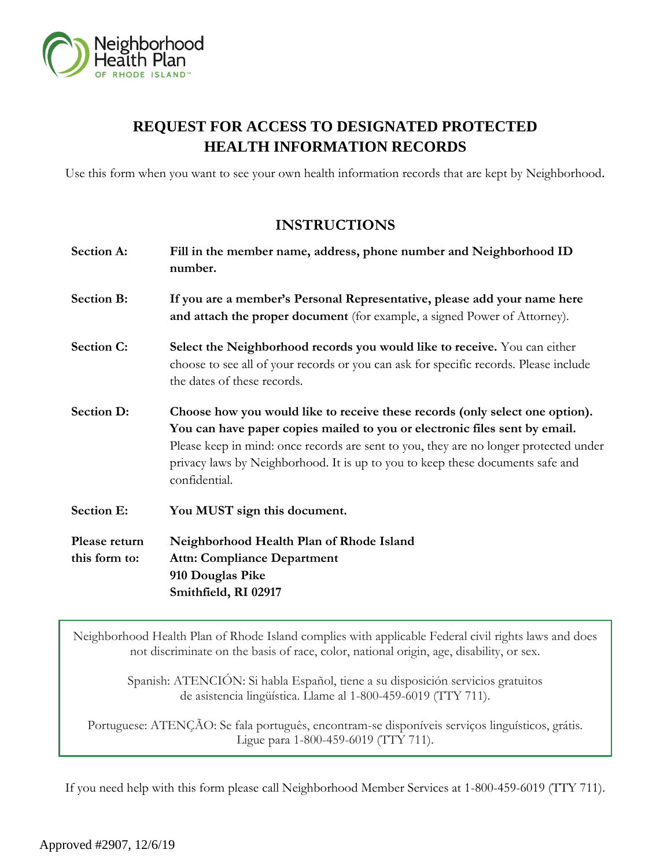

# **REQUEST FOR ACCESS TO DESIGNATED PROTECTED HEALTH INFORMATION RECORDS**

Use this form when you want to see your own health information records that are kept by Neighborhood.

# **INSTRUCTIONS**

| Section A:        | Fill in the member name, address, phone number and Neighborhood ID<br>number.                                                                                                                                                                                                                                                                          |
|-------------------|--------------------------------------------------------------------------------------------------------------------------------------------------------------------------------------------------------------------------------------------------------------------------------------------------------------------------------------------------------|
| <b>Section B:</b> | If you are a member's Personal Representative, please add your name here<br>and attach the proper document (for example, a signed Power of Attorney).                                                                                                                                                                                                  |
| <b>Section C:</b> | Select the Neighborhood records you would like to receive. You can either<br>choose to see all of your records or you can ask for specific records. Please include<br>the dates of these records.                                                                                                                                                      |
| <b>Section D:</b> | Choose how you would like to receive these records (only select one option).<br>You can have paper copies mailed to you or electronic files sent by email.<br>Please keep in mind: once records are sent to you, they are no longer protected under<br>privacy laws by Neighborhood. It is up to you to keep these documents safe and<br>confidential. |
| <b>Section E:</b> | You MUST sign this document.                                                                                                                                                                                                                                                                                                                           |
| Please return     | Neighborhood Health Plan of Rhode Island                                                                                                                                                                                                                                                                                                               |
| this form to:     | <b>Attn: Compliance Department</b>                                                                                                                                                                                                                                                                                                                     |
|                   | 910 Douglas Pike                                                                                                                                                                                                                                                                                                                                       |
|                   | Smithfield, RI 02917                                                                                                                                                                                                                                                                                                                                   |

Neighborhood Health Plan of Rhode Island complies with applicable Federal civil rights laws and does not discriminate on the basis of race, color, national origin, age, disability, or sex.

> Spanish: ATENCIÓN: Si habla Español, tiene a su disposición servicios gratuitos de asistencia lingüística. Llame al 1-800-459-6019 (TTY 711).

Portuguese: ATENÇÃO: Se fala português, encontram-se disponíveis serviços linguísticos, grátis. Ligue para 1-800-459-6019 (TTY 711).

If you need help with this form please call Neighborhood Member Services at 1-800-459-6019 (TTY 711).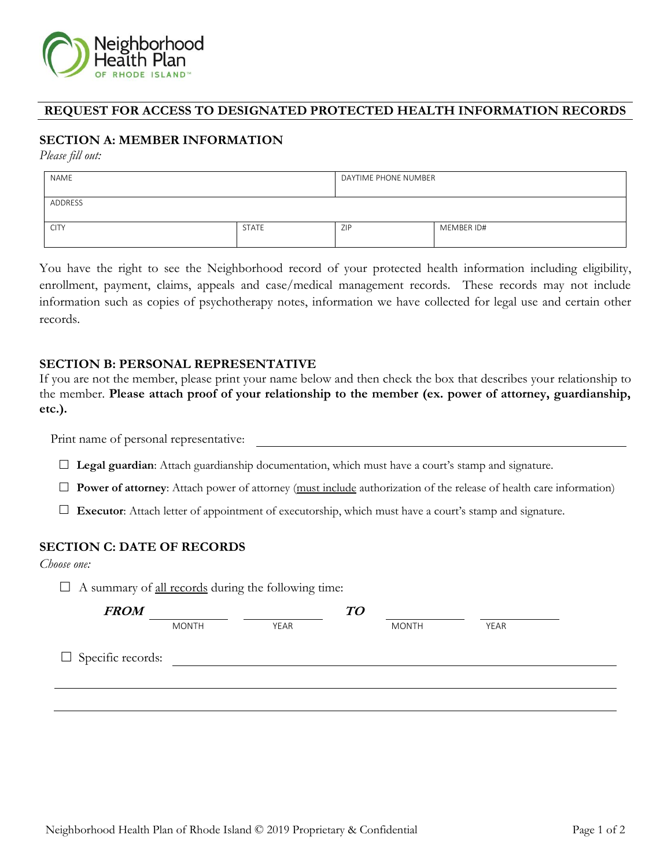

#### **REQUEST FOR ACCESS TO DESIGNATED PROTECTED HEALTH INFORMATION RECORDS**

## **SECTION A: MEMBER INFORMATION**

*Please fill out:*

| <b>NAME</b> |              | DAYTIME PHONE NUMBER |            |  |
|-------------|--------------|----------------------|------------|--|
| ADDRESS     |              |                      |            |  |
| <b>CITY</b> | <b>STATE</b> | ZIP                  | MEMBER ID# |  |

You have the right to see the Neighborhood record of your protected health information including eligibility, enrollment, payment, claims, appeals and case/medical management records. These records may not include information such as copies of psychotherapy notes, information we have collected for legal use and certain other records.

#### **SECTION B: PERSONAL REPRESENTATIVE**

If you are not the member, please print your name below and then check the box that describes your relationship to the member. **Please attach proof of your relationship to the member (ex. power of attorney, guardianship, etc.).**

Print name of personal representative:

- **Legal guardian**: Attach guardianship documentation, which must have a court's stamp and signature.
- **Power of attorney**: Attach power of attorney (must include authorization of the release of health care information)
- **Executor**: Attach letter of appointment of executorship, which must have a court's stamp and signature.

#### **SECTION C: DATE OF RECORDS**

*Choose one:*

 $\Box$  A summary of <u>all records</u> during the following time:

| <b>FROM</b>              |              |      | TO |              |      |  |
|--------------------------|--------------|------|----|--------------|------|--|
|                          | <b>MONTH</b> | YEAR |    | <b>MONTH</b> | YEAR |  |
| $\Box$ Specific records: |              |      |    |              |      |  |
|                          |              |      |    |              |      |  |
|                          |              |      |    |              |      |  |